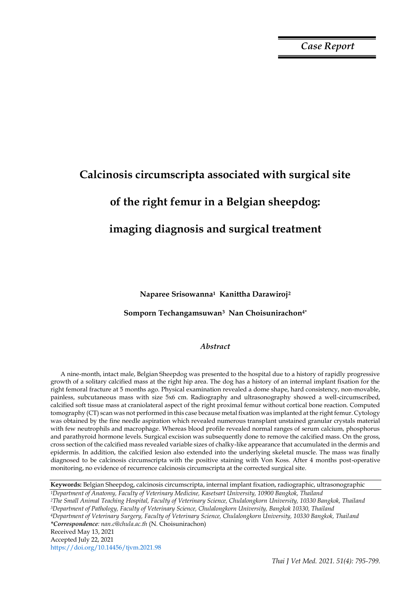*Case Report*

# **Calcinosis circumscripta associated with surgical site of the right femur in a Belgian sheepdog: imaging diagnosis and surgical treatment**

**Naparee Srisowanna1 Kanittha Darawiroj<sup>2</sup>** 

### **Somporn Techangamsuwan3 Nan Choisunirachon4\***

## *Abstract*

A nine-month, intact male, Belgian Sheepdog was presented to the hospital due to a history of rapidly progressive growth of a solitary calcified mass at the right hip area. The dog has a history of an internal implant fixation for the right femoral fracture at 5 months ago. Physical examination revealed a dome shape, hard consistency, non-movable, painless, subcutaneous mass with size 5x6 cm. Radiography and ultrasonography showed a well-circumscribed, calcified soft tissue mass at craniolateral aspect of the right proximal femur without cortical bone reaction. Computed tomography (CT) scan was not performed in this case because metal fixation was implanted at the right femur. Cytology was obtained by the fine needle aspiration which revealed numerous transplant unstained granular crystals material with few neutrophils and macrophage. Whereas blood profile revealed normal ranges of serum calcium, phosphorus and parathyroid hormone levels. Surgical excision was subsequently done to remove the calcified mass. On the gross, cross section of the calcified mass revealed variable sizes of chalky-like appearance that accumulated in the dermis and epidermis. In addition, the calcified lesion also extended into the underlying skeletal muscle. The mass was finally diagnosed to be calcinosis circumscripta with the positive staining with Von Koss. After 4 months post-operative monitoring, no evidence of recurrence calcinosis circumscripta at the corrected surgical site.

**Keywords:** Belgian Sheepdog, calcinosis circumscripta, internal implant fixation, radiographic, ultrasonographic *<sup>1</sup>Department of Anatomy, Faculty of Veterinary Medicine, Kasetsart University, 10900 Bangkok, Thailand <sup>2</sup>The Small Animal Teaching Hospital, Faculty of Veterinary Science, Chulalongkorn University, 10330 Bangkok, Thailand <sup>3</sup>Department of Pathology, Faculty of Veterinary Science, Chulalongkorn University, Bangkok 10330, Thailand <sup>4</sup>Department of Veterinary Surgery, Faculty of Veterinary Science, Chulalongkorn University, 10330 Bangkok, Thailand \*Correspondence: nan.c@chula.ac.th* (N. Choisunirachon) Received May 13, 2021 Accepted July 22, 2021 https://doi.org/10.14456/tjvm.2021.98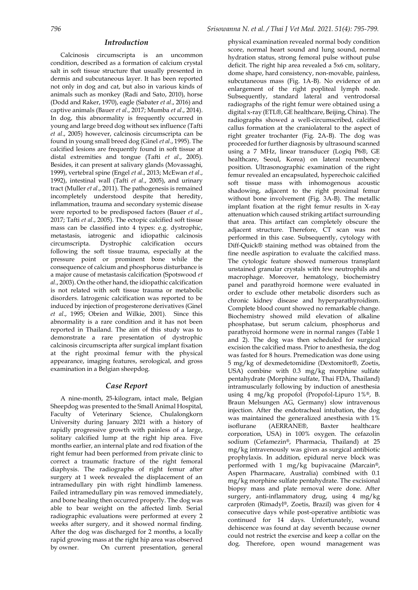#### *Introduction*

Calcinosis circumscripta is an uncommon condition, described as a formation of calcium crystal salt in soft tissue structure that usually presented in dermis and subcutaneous layer. It has been reported not only in dog and cat, but also in various kinds of animals such as monkey (Radi and Sato, 2010), horse (Dodd and Raker, 1970), eagle (Sabater *et al*., 2016) and captive animals (Bauer *et al*., 2017; Mumba *et al*., 2014). In dog, this abnormality is frequently occurred in young and large breed dog without sex influence (Tafti *et al*., 2005) however, calcinosis circumscripta can be found in young small breed dog (Ginel *et al*., 1995). The calcified lesions are frequently found in soft tissue at distal extremities and tongue (Tafti *et al*., 2005). Besides, it can present at salivary glands (Movassaghi, 1999), vertebral spine (Engel *et al*., 2013; McEwan *et al*., 1992), intestinal wall (Tafti *et al*., 2005), and urinary tract (Muller *et al*., 2011). The pathogenesis is remained incompletely understood despite that heredity, inflammation, trauma and secondary systemic disease were reported to be predisposed factors (Bauer *et al*., 2017; Tafti *et al*., 2005). The ectopic calcified soft tissue mass can be classified into 4 types: e.g. dystrophic, metastasis, iatrogenic and idiopathic calcinosis circumscripta. Dystrophic calcification occurs following the soft tissue trauma, especially at the pressure point or prominent bone while the consequence of calcium and phosphorus disturbance is a major cause of metastasis calcification (Spotswood *et al*., 2003). On the other hand, the idiopathic calcification is not related with soft tissue trauma or metabolic disorders. Iatrogenic calcification was reported to be induced by injection of progesterone derivatives (Ginel *et al*., 1995; Obrien and Wilkie, 2001). Since this abnormality is a rare condition and it has not been reported in Thailand. The aim of this study was to demonstrate a rare presentation of dystrophic calcinosis circumscripta after surgical implant fixation at the right proximal femur with the physical appearance, imaging features, serological, and gross examination in a Belgian sheepdog.

## *Case Report*

A nine-month, 25-kilogram, intact male, Belgian Sheepdog was presented to the Small Animal Hospital, Faculty of Veterinary Science, Chulalongkorn University during January 2021 with a history of rapidly progressive growth with painless of a large, solitary calcified lump at the right hip area. Five months earlier, an internal plate and rod fixation of the right femur had been performed from private clinic to correct a traumatic fracture of the right femoral diaphysis. The radiographs of right femur after surgery at 1 week revealed the displacement of an intramedullary pin with right hindlimb lameness. Failed intramedullary pin was removed immediately, and bone healing then occurred properly. The dog was able to bear weight on the affected limb. Serial radiographic evaluations were performed at every 2 weeks after surgery, and it showed normal finding. After the dog was discharged for 2 months, a locally rapid growing mass at the right hip area was observed by owner. On current presentation, general

physical examination revealed normal body condition score, normal heart sound and lung sound, normal hydration status, strong femoral pulse without pulse deficit. The right hip area revealed a 5x6 cm, solitary, dome shape, hard consistency, non-movable, painless, subcutaneous mass (Fig. 1A-B). No evidence of an enlargement of the right popliteal lymph node. Subsequently, standard lateral and ventrodorsal radiographs of the right femur were obtained using a digital x-ray (ETL®, GE healthcare, Beijing, China). The radiographs showed a well-circumscribed, calcified callus formation at the craniolateral to the aspect of right greater trochanter (Fig. 2A-B). The dog was proceeded for further diagnosis by ultrasound scanned using a 7 MHz, linear transducer (Logiq P6®, GE healthcare, Seoul, Korea) on lateral recumbency position. Ultrasonographic examination of the right femur revealed an encapsulated, hyperechoic calcified soft tissue mass with inhomogenous acoustic shadowing, adjacent to the right proximal femur without bone involvement (Fig. 3A-B). The metallic implant fixation at the right femur results in X-ray attenuation which caused striking artifact surrounding that area. This artifact can completely obscure the adjacent structure. Therefore, CT scan was not performed in this case. Subsequently, cytology with Diff-Quick® staining method was obtained from the fine needle aspiration to evaluate the calcified mass. The cytologic feature showed numerous transplant unstained granular crystals with few neutrophils and macrophage. Moreover, hematology, biochemistry panel and parathyroid hormone were evaluated in order to exclude other metabolic disorders such as chronic kidney disease and hyperparathyroidism. Complete blood count showed no remarkable change. Biochemistry showed mild elevation of alkaline phosphatase, but serum calcium, phosphorus and parathyroid hormone were in normal ranges (Table 1 and 2). The dog was then scheduled for surgical excision the calcified mass. Prior to anesthesia, the dog was fasted for 8 hours. Premedication was done using 5 mg/kg of dexmedetomidine (Dextomitor®, Zoetis, USA) combine with 0.3 mg/kg morphine sulfate pentahydrate (Morphine sulfate, Thai FDA, Thailand) intramuscularly following by induction of anesthesia using 4 mg/kg propofol (Propofol-Lipuro 1%®, B. Braun Melsungen AG, Germany) slow intravenous injection. After the endotracheal intubation, the dog was maintained the generalized anesthesia with 1% isoflurane (AERRANE®, Baxter healthcare corporation, USA) in 100% oxygen. The cefazolin sodium (Cefamezin®, Pharmacia, Thailand) at 25 mg/kg intravenously was given as surgical antibiotic prophylaxis. In addition, epidural nerve block was performed with 1 mg/kg bupivacaine (Marcain®, Aspen Pharmacare, Australia) combined with 0.1 mg/kg morphine sulfate pentahydrate. The excisional biopsy mass and plate removal were done. After surgery, anti-inflammatory drug, using 4 mg/kg carprofen (Rimadyl®, Zoetis, Brazil) was given for 4 consecutive days while post-operative antibiotic was continued for 14 days. Unfortunately, wound dehiscence was found at day seventh because owner could not restrict the exercise and keep a collar on the dog. Therefore, open wound management was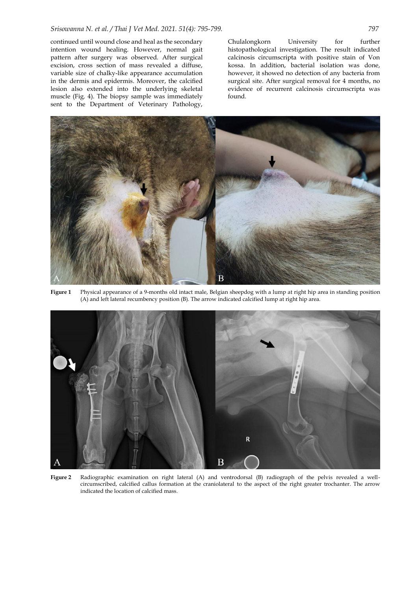continued until wound close and heal as the secondary intention wound healing. However, normal gait pattern after surgery was observed. After surgical excision, cross section of mass revealed a diffuse, variable size of chalky-like appearance accumulation in the dermis and epidermis. Moreover, the calcified lesion also extended into the underlying skeletal muscle (Fig. 4). The biopsy sample was immediately sent to the Department of Veterinary Pathology,

Chulalongkorn University for further histopathological investigation. The result indicated calcinosis circumscripta with positive stain of Von kossa. In addition, bacterial isolation was done, however, it showed no detection of any bacteria from surgical site. After surgical removal for 4 months, no evidence of recurrent calcinosis circumscripta was found.



**Figure 1** Physical appearance of a 9-months old intact male, Belgian sheepdog with a lump at right hip area in standing position (A) and left lateral recumbency position (B). The arrow indicated calcified lump at right hip area.



**Figure 2** Radiographic examination on right lateral (A) and ventrodorsal (B) radiograph of the pelvis revealed a wellcircumscribed, calcified callus formation at the craniolateral to the aspect of the right greater trochanter. The arrow indicated the location of calcified mass.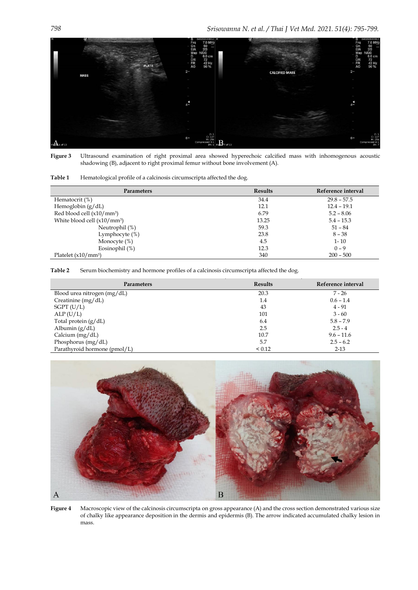

**Figure 3** Ultrasound examination of right proximal area showed hyperechoic calcified mass with inhomogenous acoustic shadowing (B), adjacent to right proximal femur without bone involvement (A).

| <b>Parameters</b>                       | <b>Results</b> | Reference interval |
|-----------------------------------------|----------------|--------------------|
| Hematocrit (%)                          | 34.4           | $29.8 - 57.5$      |
| Hemoglobin $(g/dL)$                     | 12.1           | $12.4 - 19.1$      |
| Red blood cell (x10/mm <sup>3</sup> )   | 6.79           | $5.2 - 8.06$       |
| White blood cell (x10/mm <sup>3</sup> ) | 13.25          | $5.4 - 15.3$       |
| Neutrophil (%)                          | 59.3           | $51 - 84$          |
| Lymphocyte $(\%)$                       | 23.8           | $8 - 38$           |
| Monocyte $(\%)$                         | 4.5            | $1 - 10$           |
| Eosinophil $(\%)$                       | 12.3           | $0 - 9$            |
| Platelet $(x10/mm^3)$                   | 340            | $200 - 500$        |

**Table 2** Serum biochemistry and hormone profiles of a calcinosis circumscripta affected the dog.

| Parameters                   | <b>Results</b> | Reference interval |
|------------------------------|----------------|--------------------|
| Blood urea nitrogen (mg/dL)  | 20.3           | $7 - 26$           |
| Creatinine $(mg/dL)$         | 1.4            | $0.6 - 1.4$        |
| $SGPT$ (U/L)                 | 43             | $4 - 91$           |
| ALP(U/L)                     | 101            | $3 - 60$           |
| Total protein $(g/dL)$       | 6.4            | $5.8 - 7.9$        |
| Albumin $(g/dL)$             | 2.5            | $2.5 - 4$          |
| Calcium $(mg/dL)$            | 10.7           | $9.6 - 11.6$       |
| Phosphorus $(mg/dL)$         | 5.7            | $2.5 - 6.2$        |
| Parathyroid hormone (pmol/L) | ${}_{0.12}$    | $2 - 13$           |



**Figure 4** Macroscopic view of the calcinosis circumscripta on gross appearance (A) and the cross section demonstrated various size of chalky like appearance deposition in the dermis and epidermis (B). The arrow indicated accumulated chalky lesion in mass.